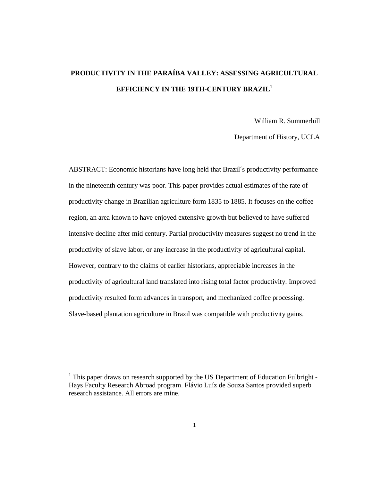# **PRODUCTIVITY IN THE PARAÍBA VALLEY: ASSESSING AGRICULTURAL EFFICIENCY IN THE 19TH-CENTURY BRAZIL1**

William R. Summerhill

Department of History, UCLA

ABSTRACT: Economic historians have long held that Brazil´s productivity performance in the nineteenth century was poor. This paper provides actual estimates of the rate of productivity change in Brazilian agriculture form 1835 to 1885. It focuses on the coffee region, an area known to have enjoyed extensive growth but believed to have suffered intensive decline after mid century. Partial productivity measures suggest no trend in the productivity of slave labor, or any increase in the productivity of agricultural capital. However, contrary to the claims of earlier historians, appreciable increases in the productivity of agricultural land translated into rising total factor productivity. Improved productivity resulted form advances in transport, and mechanized coffee processing. Slave-based plantation agriculture in Brazil was compatible with productivity gains.

-

<sup>&</sup>lt;sup>1</sup> This paper draws on research supported by the US Department of Education Fulbright -Hays Faculty Research Abroad program. Flávio Luíz de Souza Santos provided superb research assistance. All errors are mine.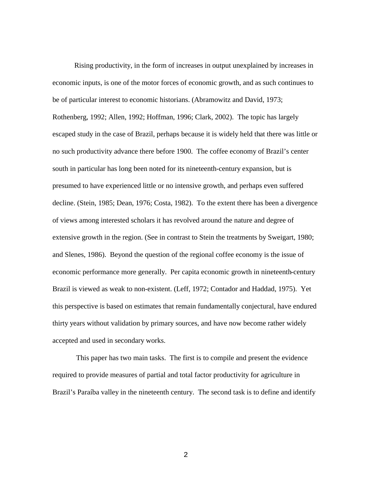Rising productivity, in the form of increases in output unexplained by increases in economic inputs, is one of the motor forces of economic growth, and as such continues to be of particular interest to economic historians. (Abramowitz and David, 1973; Rothenberg, 1992; Allen, 1992; Hoffman, 1996; Clark, 2002). The topic has largely escaped study in the case of Brazil, perhaps because it is widely held that there was little or no such productivity advance there before 1900. The coffee economy of Brazil's center south in particular has long been noted for its nineteenth-century expansion, but is presumed to have experienced little or no intensive growth, and perhaps even suffered decline. (Stein, 1985; Dean, 1976; Costa, 1982). To the extent there has been a divergence of views among interested scholars it has revolved around the nature and degree of extensive growth in the region. (See in contrast to Stein the treatments by Sweigart, 1980; and Slenes, 1986). Beyond the question of the regional coffee economy is the issue of economic performance more generally. Per capita economic growth in nineteenth-century Brazil is viewed as weak to non-existent. (Leff, 1972; Contador and Haddad, 1975). Yet this perspective is based on estimates that remain fundamentally conjectural, have endured thirty years without validation by primary sources, and have now become rather widely accepted and used in secondary works.

 This paper has two main tasks. The first is to compile and present the evidence required to provide measures of partial and total factor productivity for agriculture in Brazil's Paraíba valley in the nineteenth century. The second task is to define and identify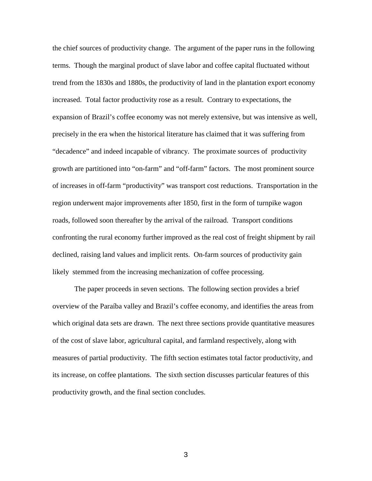the chief sources of productivity change. The argument of the paper runs in the following terms. Though the marginal product of slave labor and coffee capital fluctuated without trend from the 1830s and 1880s, the productivity of land in the plantation export economy increased. Total factor productivity rose as a result. Contrary to expectations, the expansion of Brazil's coffee economy was not merely extensive, but was intensive as well, precisely in the era when the historical literature has claimed that it was suffering from "decadence" and indeed incapable of vibrancy. The proximate sources of productivity growth are partitioned into "on-farm" and "off-farm" factors. The most prominent source of increases in off-farm "productivity" was transport cost reductions. Transportation in the region underwent major improvements after 1850, first in the form of turnpike wagon roads, followed soon thereafter by the arrival of the railroad. Transport conditions confronting the rural economy further improved as the real cost of freight shipment by rail declined, raising land values and implicit rents. On-farm sources of productivity gain likely stemmed from the increasing mechanization of coffee processing.

The paper proceeds in seven sections. The following section provides a brief overview of the Paraíba valley and Brazil's coffee economy, and identifies the areas from which original data sets are drawn. The next three sections provide quantitative measures of the cost of slave labor, agricultural capital, and farmland respectively, along with measures of partial productivity. The fifth section estimates total factor productivity, and its increase, on coffee plantations. The sixth section discusses particular features of this productivity growth, and the final section concludes.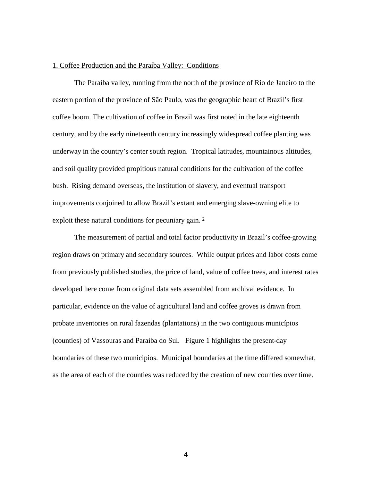#### 1. Coffee Production and the Paraíba Valley: Conditions

The Paraíba valley, running from the north of the province of Rio de Janeiro to the eastern portion of the province of São Paulo, was the geographic heart of Brazil's first coffee boom. The cultivation of coffee in Brazil was first noted in the late eighteenth century, and by the early nineteenth century increasingly widespread coffee planting was underway in the country's center south region. Tropical latitudes, mountainous altitudes, and soil quality provided propitious natural conditions for the cultivation of the coffee bush. Rising demand overseas, the institution of slavery, and eventual transport improvements conjoined to allow Brazil's extant and emerging slave-owning elite to exploit these natural conditions for pecuniary gain. <sup>2</sup>

The measurement of partial and total factor productivity in Brazil's coffee-growing region draws on primary and secondary sources. While output prices and labor costs come from previously published studies, the price of land, value of coffee trees, and interest rates developed here come from original data sets assembled from archival evidence. In particular, evidence on the value of agricultural land and coffee groves is drawn from probate inventories on rural fazendas (plantations) in the two contiguous municípios (counties) of Vassouras and Paraíba do Sul. Figure 1 highlights the present-day boundaries of these two municipios. Municipal boundaries at the time differed somewhat, as the area of each of the counties was reduced by the creation of new counties over time.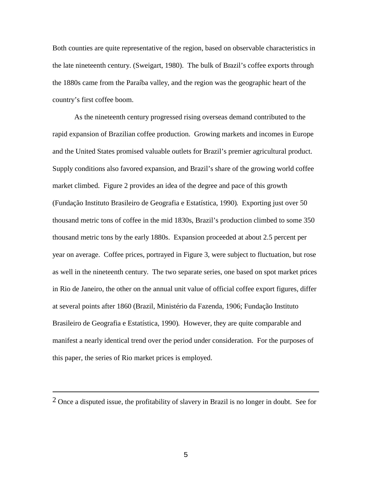Both counties are quite representative of the region, based on observable characteristics in the late nineteenth century. (Sweigart, 1980). The bulk of Brazil's coffee exports through the 1880s came from the Paraíba valley, and the region was the geographic heart of the country's first coffee boom.

As the nineteenth century progressed rising overseas demand contributed to the rapid expansion of Brazilian coffee production. Growing markets and incomes in Europe and the United States promised valuable outlets for Brazil's premier agricultural product. Supply conditions also favored expansion, and Brazil's share of the growing world coffee market climbed. Figure 2 provides an idea of the degree and pace of this growth (Fundação Instituto Brasileiro de Geografia e Estatística, 1990). Exporting just over 50 thousand metric tons of coffee in the mid 1830s, Brazil's production climbed to some 350 thousand metric tons by the early 1880s. Expansion proceeded at about 2.5 percent per year on average. Coffee prices, portrayed in Figure 3, were subject to fluctuation, but rose as well in the nineteenth century. The two separate series, one based on spot market prices in Rio de Janeiro, the other on the annual unit value of official coffee export figures, differ at several points after 1860 (Brazil, Ministério da Fazenda, 1906; Fundação Instituto Brasileiro de Geografia e Estatística, 1990). However, they are quite comparable and manifest a nearly identical trend over the period under consideration. For the purposes of this paper, the series of Rio market prices is employed.

i<br>Li

<sup>2</sup> Once a disputed issue, the profitability of slavery in Brazil is no longer in doubt. See for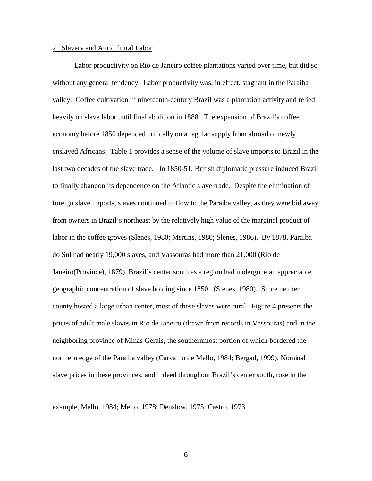# 2. Slavery and Agricultural Labor.

Labor productivity on Rio de Janeiro coffee plantations varied over time, but did so without any general tendency. Labor productivity was, in effect, stagnant in the Paraiba valley. Coffee cultivation in nineteenth-century Brazil was a plantation activity and relied heavily on slave labor until final abolition in 1888. The expansion of Brazil's coffee economy before 1850 depended critically on a regular supply from abroad of newly enslaved Africans. Table 1 provides a sense of the volume of slave imports to Brazil in the last two decades of the slave trade. In 1850-51, British diplomatic pressure induced Brazil to finally abandon its dependence on the Atlantic slave trade. Despite the elimination of foreign slave imports, slaves continued to flow to the Paraiba valley, as they were bid away from owners in Brazil's northeast by the relatively high value of the marginal product of labor in the coffee groves (Slenes, 1980; Msrtins, 1980; Slenes, 1986). By 1878, Paraiba do Sul had nearly 19,000 slaves, and Vassouras had more than 21,000 (Rio de Janeiro(Province), 1879). Brazil's center south as a region had undergone an appreciable geographic concentration of slave holding since 1850. (Slenes, 1980). Since neither county hosted a large urban center, most of these slaves were rural. Figure 4 presents the prices of adult male slaves in Rio de Janeiro (drawn from records in Vassouras) and in the neighboring province of Minas Gerais, the southernmost portion of which bordered the northern edge of the Paraiba valley (Carvalho de Mello, 1984; Bergad, 1999). Nominal slave prices in these provinces, and indeed throughout Brazil's center south, rose in the

example, Mello, 1984; Mello, 1978; Denslow, 1975; Castro, 1973.

i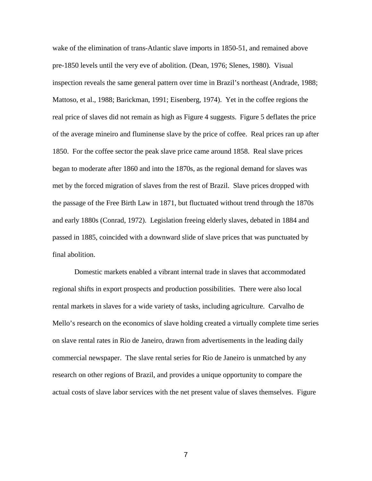wake of the elimination of trans-Atlantic slave imports in 1850-51, and remained above pre-1850 levels until the very eve of abolition. (Dean, 1976; Slenes, 1980). Visual inspection reveals the same general pattern over time in Brazil's northeast (Andrade, 1988; Mattoso, et al., 1988; Barickman, 1991; Eisenberg, 1974). Yet in the coffee regions the real price of slaves did not remain as high as Figure 4 suggests. Figure 5 deflates the price of the average mineiro and fluminense slave by the price of coffee. Real prices ran up after 1850. For the coffee sector the peak slave price came around 1858. Real slave prices began to moderate after 1860 and into the 1870s, as the regional demand for slaves was met by the forced migration of slaves from the rest of Brazil. Slave prices dropped with the passage of the Free Birth Law in 1871, but fluctuated without trend through the 1870s and early 1880s (Conrad, 1972). Legislation freeing elderly slaves, debated in 1884 and passed in 1885, coincided with a downward slide of slave prices that was punctuated by final abolition.

Domestic markets enabled a vibrant internal trade in slaves that accommodated regional shifts in export prospects and production possibilities. There were also local rental markets in slaves for a wide variety of tasks, including agriculture. Carvalho de Mello's research on the economics of slave holding created a virtually complete time series on slave rental rates in Rio de Janeiro, drawn from advertisements in the leading daily commercial newspaper. The slave rental series for Rio de Janeiro is unmatched by any research on other regions of Brazil, and provides a unique opportunity to compare the actual costs of slave labor services with the net present value of slaves themselves. Figure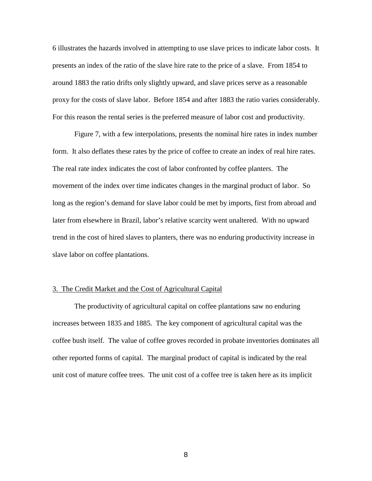6 illustrates the hazards involved in attempting to use slave prices to indicate labor costs. It presents an index of the ratio of the slave hire rate to the price of a slave. From 1854 to around 1883 the ratio drifts only slightly upward, and slave prices serve as a reasonable proxy for the costs of slave labor. Before 1854 and after 1883 the ratio varies considerably. For this reason the rental series is the preferred measure of labor cost and productivity.

Figure 7, with a few interpolations, presents the nominal hire rates in index number form. It also deflates these rates by the price of coffee to create an index of real hire rates. The real rate index indicates the cost of labor confronted by coffee planters. The movement of the index over time indicates changes in the marginal product of labor. So long as the region's demand for slave labor could be met by imports, first from abroad and later from elsewhere in Brazil, labor's relative scarcity went unaltered. With no upward trend in the cost of hired slaves to planters, there was no enduring productivity increase in slave labor on coffee plantations.

# 3. The Credit Market and the Cost of Agricultural Capital

The productivity of agricultural capital on coffee plantations saw no enduring increases between 1835 and 1885. The key component of agricultural capital was the coffee bush itself. The value of coffee groves recorded in probate inventories dominates all other reported forms of capital. The marginal product of capital is indicated by the real unit cost of mature coffee trees. The unit cost of a coffee tree is taken here as its implicit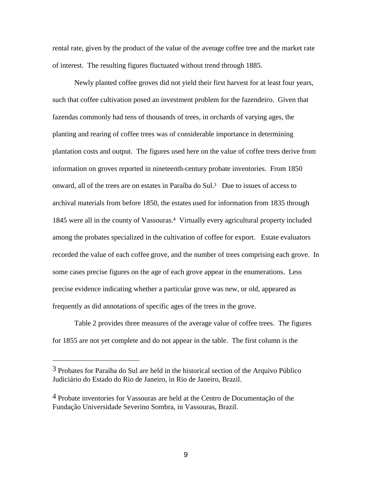rental rate, given by the product of the value of the average coffee tree and the market rate of interest. The resulting figures fluctuated without trend through 1885.

Newly planted coffee groves did not yield their first harvest for at least four years, such that coffee cultivation posed an investment problem for the fazendeiro. Given that fazendas commonly had tens of thousands of trees, in orchards of varying ages, the planting and rearing of coffee trees was of considerable importance in determining plantation costs and output. The figures used here on the value of coffee trees derive from information on groves reported in nineteenth-century probate inventories. From 1850 onward, all of the trees are on estates in Paraíba do Sul.3 Due to issues of access to archival materials from before 1850, the estates used for information from 1835 through 1845 were all in the county of Vassouras.4 Virtually every agricultural property included among the probates specialized in the cultivation of coffee for export. Estate evaluators recorded the value of each coffee grove, and the number of trees comprising each grove. In some cases precise figures on the age of each grove appear in the enumerations. Less precise evidence indicating whether a particular grove was new, or old, appeared as frequently as did annotations of specific ages of the trees in the grove.

Table 2 provides three measures of the average value of coffee trees. The figures for 1855 are not yet complete and do not appear in the table. The first column is the

i

<sup>3</sup> Probates for Paraíba do Sul are held in the historical section of the Arquivo Público Judiciário do Estado do Rio de Janeiro, in Rio de Janeiro, Brazil.

<sup>4</sup> Probate inventories for Vassouras are held at the Centro de Documentação of the Fundação Universidade Severino Sombra, in Vassouras, Brazil.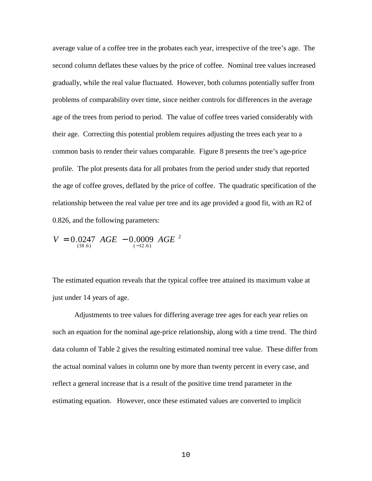average value of a coffee tree in the probates each year, irrespective of the tree's age. The second column deflates these values by the price of coffee. Nominal tree values increased gradually, while the real value fluctuated. However, both columns potentially suffer from problems of comparability over time, since neither controls for differences in the average age of the trees from period to period. The value of coffee trees varied considerably with their age. Correcting this potential problem requires adjusting the trees each year to a common basis to render their values comparable. Figure 8 presents the tree's age-price profile. The plot presents data for all probates from the period under study that reported the age of coffee groves, deflated by the price of coffee. The quadratic specification of the relationship between the real value per tree and its age provided a good fit, with an R2 of 0.826, and the following parameters:

$$
V = 0.0247 \, AGE - 0.0009 \, AGE^2
$$

The estimated equation reveals that the typical coffee tree attained its maximum value at just under 14 years of age.

Adjustments to tree values for differing average tree ages for each year relies on such an equation for the nominal age-price relationship, along with a time trend. The third data column of Table 2 gives the resulting estimated nominal tree value. These differ from the actual nominal values in column one by more than twenty percent in every case, and reflect a general increase that is a result of the positive time trend parameter in the estimating equation. However, once these estimated values are converted to implicit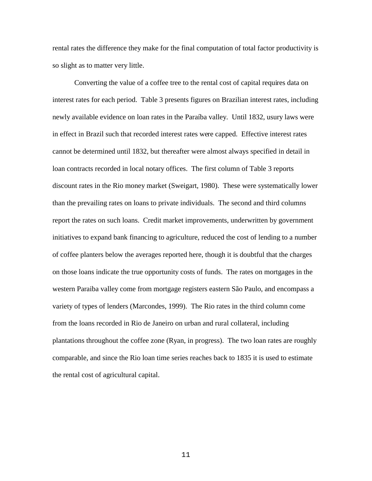rental rates the difference they make for the final computation of total factor productivity is so slight as to matter very little.

Converting the value of a coffee tree to the rental cost of capital requires data on interest rates for each period. Table 3 presents figures on Brazilian interest rates, including newly available evidence on loan rates in the Paraíba valley. Until 1832, usury laws were in effect in Brazil such that recorded interest rates were capped. Effective interest rates cannot be determined until 1832, but thereafter were almost always specified in detail in loan contracts recorded in local notary offices. The first column of Table 3 reports discount rates in the Rio money market (Sweigart, 1980). These were systematically lower than the prevailing rates on loans to private individuals. The second and third columns report the rates on such loans. Credit market improvements, underwritten by government initiatives to expand bank financing to agriculture, reduced the cost of lending to a number of coffee planters below the averages reported here, though it is doubtful that the charges on those loans indicate the true opportunity costs of funds. The rates on mortgages in the western Paraiba valley come from mortgage registers eastern São Paulo, and encompass a variety of types of lenders (Marcondes, 1999). The Rio rates in the third column come from the loans recorded in Rio de Janeiro on urban and rural collateral, including plantations throughout the coffee zone (Ryan, in progress). The two loan rates are roughly comparable, and since the Rio loan time series reaches back to 1835 it is used to estimate the rental cost of agricultural capital.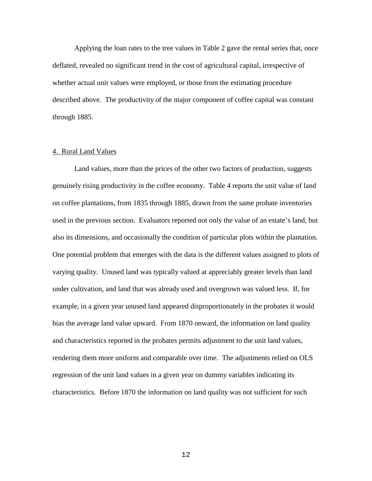Applying the loan rates to the tree values in Table 2 gave the rental series that, once deflated, revealed no significant trend in the cost of agricultural capital, irrespective of whether actual unit values were employed, or those from the estimating procedure described above. The productivity of the major component of coffee capital was constant through 1885.

# 4. Rural Land Values

Land values, more than the prices of the other two factors of production, suggests genuinely rising productivity in the coffee economy. Table 4 reports the unit value of land on coffee plantations, from 1835 through 1885, drawn from the same probate inventories used in the previous section. Evaluators reported not only the value of an estate's land, but also its dimensions, and occasionally the condition of particular plots within the plantation. One potential problem that emerges with the data is the different values assigned to plots of varying quality. Unused land was typically valued at appreciably greater levels than land under cultivation, and land that was already used and overgrown was valued less. If, for example, in a given year unused land appeared disproportionately in the probates it would bias the average land value upward. From 1870 onward, the information on land quality and characteristics reported in the probates permits adjustment to the unit land values, rendering them more uniform and comparable over time. The adjustments relied on OLS regression of the unit land values in a given year on dummy variables indicating its characteristics. Before 1870 the information on land quality was not sufficient for such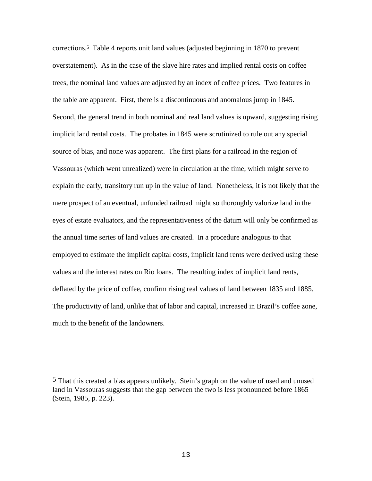corrections.5 Table 4 reports unit land values (adjusted beginning in 1870 to prevent overstatement). As in the case of the slave hire rates and implied rental costs on coffee trees, the nominal land values are adjusted by an index of coffee prices. Two features in the table are apparent. First, there is a discontinuous and anomalous jump in 1845. Second, the general trend in both nominal and real land values is upward, suggesting rising implicit land rental costs. The probates in 1845 were scrutinized to rule out any special source of bias, and none was apparent. The first plans for a railroad in the region of Vassouras (which went unrealized) were in circulation at the time, which might serve to explain the early, transitory run up in the value of land. Nonetheless, it is not likely that the mere prospect of an eventual, unfunded railroad might so thoroughly valorize land in the eyes of estate evaluators, and the representativeness of the datum will only be confirmed as the annual time series of land values are created. In a procedure analogous to that employed to estimate the implicit capital costs, implicit land rents were derived using these values and the interest rates on Rio loans. The resulting index of implicit land rents, deflated by the price of coffee, confirm rising real values of land between 1835 and 1885. The productivity of land, unlike that of labor and capital, increased in Brazil's coffee zone, much to the benefit of the landowners.

i

<sup>5</sup> That this created a bias appears unlikely. Stein's graph on the value of used and unused land in Vassouras suggests that the gap between the two is less pronounced before 1865 (Stein, 1985, p. 223).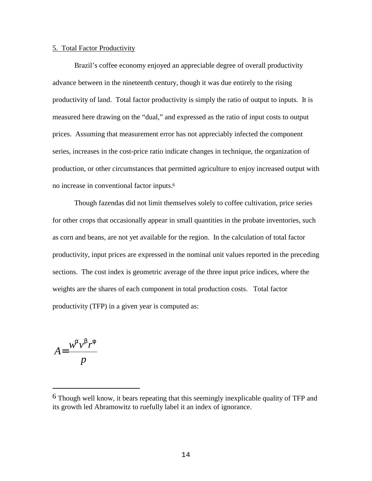## 5. Total Factor Productivity

Brazil's coffee economy enjoyed an appreciable degree of overall productivity advance between in the nineteenth century, though it was due entirely to the rising productivity of land. Total factor productivity is simply the ratio of output to inputs. It is measured here drawing on the "dual," and expressed as the ratio of input costs to output prices. Assuming that measurement error has not appreciably infected the component series, increases in the cost-price ratio indicate changes in technique, the organization of production, or other circumstances that permitted agriculture to enjoy increased output with no increase in conventional factor inputs.<sup>6</sup>

Though fazendas did not limit themselves solely to coffee cultivation, price series for other crops that occasionally appear in small quantities in the probate inventories, such as corn and beans, are not yet available for the region. In the calculation of total factor productivity, input prices are expressed in the nominal unit values reported in the preceding sections. The cost index is geometric average of the three input price indices, where the weights are the shares of each component in total production costs. Total factor productivity (TFP) in a given year is computed as:

*p*  $w^a v^b r$ *A*  $a_1, b_2$ =

i<br>Li

<sup>6</sup> Though well know, it bears repeating that this seemingly inexplicable quality of TFP and its growth led Abramowitz to ruefully label it an index of ignorance.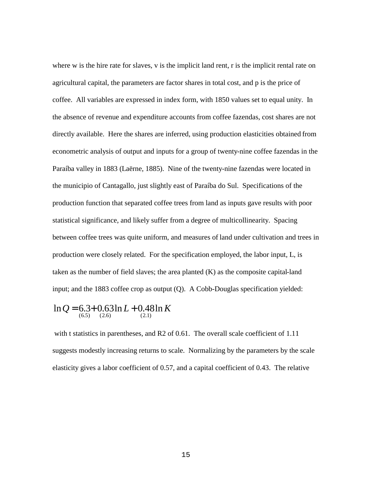where w is the hire rate for slaves, v is the implicit land rent, r is the implicit rental rate on agricultural capital, the parameters are factor shares in total cost, and p is the price of coffee. All variables are expressed in index form, with 1850 values set to equal unity. In the absence of revenue and expenditure accounts from coffee fazendas, cost shares are not directly available. Here the shares are inferred, using production elasticities obtained from econometric analysis of output and inputs for a group of twenty-nine coffee fazendas in the Paraíba valley in 1883 (Laërne, 1885). Nine of the twenty-nine fazendas were located in the municipio of Cantagallo, just slightly east of Paraíba do Sul. Specifications of the production function that separated coffee trees from land as inputs gave results with poor statistical significance, and likely suffer from a degree of multicollinearity. Spacing between coffee trees was quite uniform, and measures of land under cultivation and trees in production were closely related. For the specification employed, the labor input, L, is taken as the number of field slaves; the area planted (K) as the composite capital-land input; and the 1883 coffee crop as output (Q). A Cobb-Douglas specification yielded:

$$
\ln Q = 6.3 + 0.63 \ln L + 0.48 \ln K
$$
  
(2.6) (2.6)

with t statistics in parentheses, and R2 of 0.61. The overall scale coefficient of 1.11 suggests modestly increasing returns to scale. Normalizing by the parameters by the scale elasticity gives a labor coefficient of 0.57, and a capital coefficient of 0.43. The relative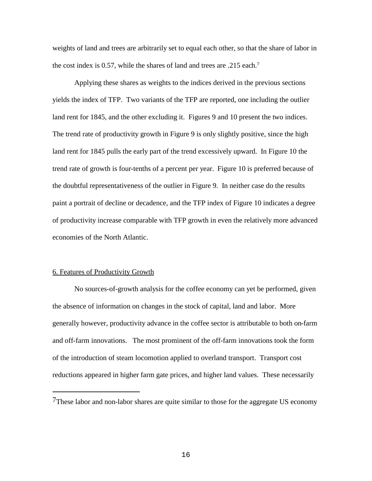weights of land and trees are arbitrarily set to equal each other, so that the share of labor in the cost index is 0.57, while the shares of land and trees are .215 each.<sup>7</sup>

Applying these shares as weights to the indices derived in the previous sections yields the index of TFP. Two variants of the TFP are reported, one including the outlier land rent for 1845, and the other excluding it. Figures 9 and 10 present the two indices. The trend rate of productivity growth in Figure 9 is only slightly positive, since the high land rent for 1845 pulls the early part of the trend excessively upward. In Figure 10 the trend rate of growth is four-tenths of a percent per year. Figure 10 is preferred because of the doubtful representativeness of the outlier in Figure 9. In neither case do the results paint a portrait of decline or decadence, and the TFP index of Figure 10 indicates a degree of productivity increase comparable with TFP growth in even the relatively more advanced economies of the North Atlantic.

### 6. Features of Productivity Growth

i<br>Li

No sources-of-growth analysis for the coffee economy can yet be performed, given the absence of information on changes in the stock of capital, land and labor. More generally however, productivity advance in the coffee sector is attributable to both on-farm and off-farm innovations. The most prominent of the off-farm innovations took the form of the introduction of steam locomotion applied to overland transport. Transport cost reductions appeared in higher farm gate prices, and higher land values. These necessarily

<sup>7</sup>These labor and non-labor shares are quite similar to those for the aggregate US economy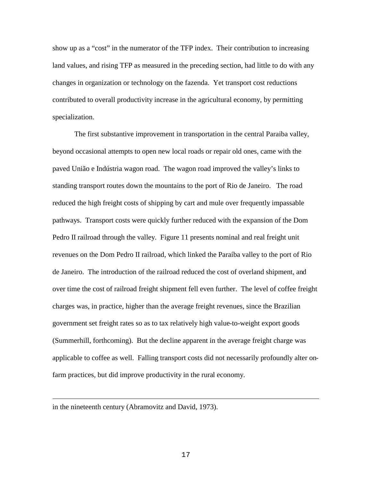show up as a "cost" in the numerator of the TFP index. Their contribution to increasing land values, and rising TFP as measured in the preceding section, had little to do with any changes in organization or technology on the fazenda. Yet transport cost reductions contributed to overall productivity increase in the agricultural economy, by permitting specialization.

The first substantive improvement in transportation in the central Paraiba valley, beyond occasional attempts to open new local roads or repair old ones, came with the paved União e Indústria wagon road. The wagon road improved the valley's links to standing transport routes down the mountains to the port of Rio de Janeiro. The road reduced the high freight costs of shipping by cart and mule over frequently impassable pathways. Transport costs were quickly further reduced with the expansion of the Dom Pedro II railroad through the valley. Figure 11 presents nominal and real freight unit revenues on the Dom Pedro II railroad, which linked the Paraíba valley to the port of Rio de Janeiro. The introduction of the railroad reduced the cost of overland shipment, and over time the cost of railroad freight shipment fell even further. The level of coffee freight charges was, in practice, higher than the average freight revenues, since the Brazilian government set freight rates so as to tax relatively high value-to-weight export goods (Summerhill, forthcoming). But the decline apparent in the average freight charge was applicable to coffee as well. Falling transport costs did not necessarily profoundly alter onfarm practices, but did improve productivity in the rural economy.

in the nineteenth century (Abramovitz and David, 1973).

i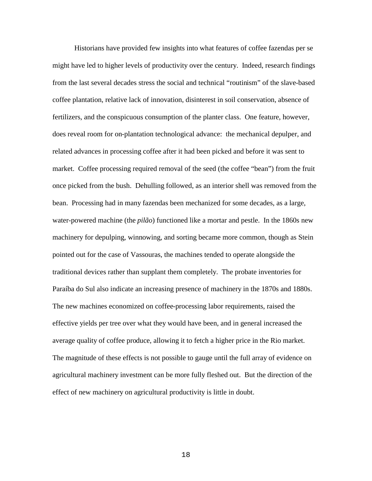Historians have provided few insights into what features of coffee fazendas per se might have led to higher levels of productivity over the century. Indeed, research findings from the last several decades stress the social and technical "routinism" of the slave-based coffee plantation, relative lack of innovation, disinterest in soil conservation, absence of fertilizers, and the conspicuous consumption of the planter class. One feature, however, does reveal room for on-plantation technological advance: the mechanical depulper, and related advances in processing coffee after it had been picked and before it was sent to market. Coffee processing required removal of the seed (the coffee "bean") from the fruit once picked from the bush. Dehulling followed, as an interior shell was removed from the bean. Processing had in many fazendas been mechanized for some decades, as a large, water-powered machine (the *pilão*) functioned like a mortar and pestle. In the 1860s new machinery for depulping, winnowing, and sorting became more common, though as Stein pointed out for the case of Vassouras, the machines tended to operate alongside the traditional devices rather than supplant them completely. The probate inventories for Paraíba do Sul also indicate an increasing presence of machinery in the 1870s and 1880s. The new machines economized on coffee-processing labor requirements, raised the effective yields per tree over what they would have been, and in general increased the average quality of coffee produce, allowing it to fetch a higher price in the Rio market. The magnitude of these effects is not possible to gauge until the full array of evidence on agricultural machinery investment can be more fully fleshed out. But the direction of the effect of new machinery on agricultural productivity is little in doubt.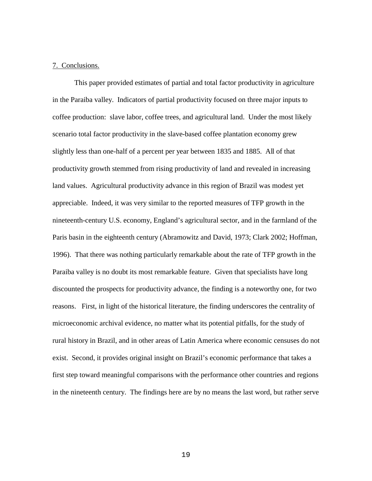# 7. Conclusions.

This paper provided estimates of partial and total factor productivity in agriculture in the Paraiba valley. Indicators of partial productivity focused on three major inputs to coffee production: slave labor, coffee trees, and agricultural land. Under the most likely scenario total factor productivity in the slave-based coffee plantation economy grew slightly less than one-half of a percent per year between 1835 and 1885. All of that productivity growth stemmed from rising productivity of land and revealed in increasing land values. Agricultural productivity advance in this region of Brazil was modest yet appreciable. Indeed, it was very similar to the reported measures of TFP growth in the nineteenth-century U.S. economy, England's agricultural sector, and in the farmland of the Paris basin in the eighteenth century (Abramowitz and David, 1973; Clark 2002; Hoffman, 1996). That there was nothing particularly remarkable about the rate of TFP growth in the Paraiba valley is no doubt its most remarkable feature. Given that specialists have long discounted the prospects for productivity advance, the finding is a noteworthy one, for two reasons. First, in light of the historical literature, the finding underscores the centrality of microeconomic archival evidence, no matter what its potential pitfalls, for the study of rural history in Brazil, and in other areas of Latin America where economic censuses do not exist. Second, it provides original insight on Brazil's economic performance that takes a first step toward meaningful comparisons with the performance other countries and regions in the nineteenth century. The findings here are by no means the last word, but rather serve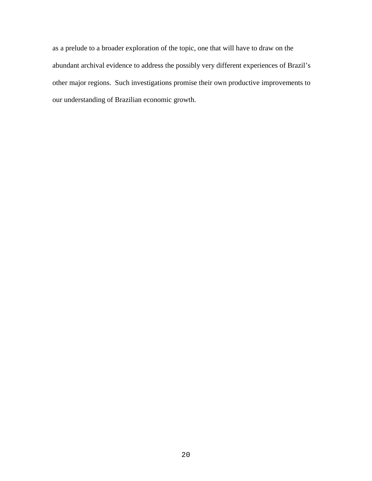as a prelude to a broader exploration of the topic, one that will have to draw on the abundant archival evidence to address the possibly very different experiences of Brazil's other major regions. Such investigations promise their own productive improvements to our understanding of Brazilian economic growth.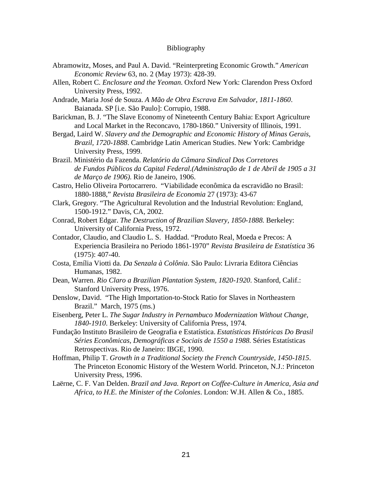# Bibliography

- Abramowitz, Moses, and Paul A. David. "Reinterpreting Economic Growth." *American Economic Review* 63, no. 2 (May 1973): 428-39.
- Allen, Robert C. *Enclosure and the Yeoman*. Oxford New York: Clarendon Press Oxford University Press, 1992.
- Andrade, Maria José de Souza. *A Mão de Obra Escrava Em Salvador, 1811-1860*. Baianada. SP [i.e. São Paulo]: Corrupio, 1988.
- Barickman, B. J. "The Slave Economy of Nineteenth Century Bahia: Export Agriculture and Local Market in the Reconcavo, 1780-1860." University of Illinois, 1991.
- Bergad, Laird W. *Slavery and the Demographic and Economic History of Minas Gerais, Brazil, 1720-1888*. Cambridge Latin American Studies. New York: Cambridge University Press, 1999.
- Brazil. Ministério da Fazenda. *Relatório da Câmara Sindical Dos Corretores de Fundos Públicos da Capital Federal.(Administração de 1 de Abril de 1905 a 31 de Março de 1906)*. Rio de Janeiro, 1906.
- Castro, Helio Oliveira Portocarrero. "Viabilidade econômica da escravidão no Brasil: 1880-1888," *Revista Brasileira de Economia* 27 (1973): 43-67
- Clark, Gregory. "The Agricultural Revolution and the Industrial Revolution: England, 1500-1912." Davis, CA, 2002.
- Conrad, Robert Edgar. *The Destruction of Brazilian Slavery, 1850-1888.* Berkeley: University of California Press, 1972.
- Contador, Claudio, and Claudio L. S. Haddad. "Produto Real, Moeda e Precos: A Experiencia Brasileira no Periodo 1861-1970" *Revista Brasileira de Estatística* 36 (1975): 407-40.
- Costa, Emília Viotti da. *Da Senzala à Colônia*. São Paulo: Livraria Editora Ciências Humanas, 1982.
- Dean, Warren. *Rio Claro a Brazilian Plantation System, 1820-1920*. Stanford, Calif.: Stanford University Press, 1976.
- Denslow, David. "The High Importation-to-Stock Ratio for Slaves in Northeastern Brazil." March, 1975 (ms.)
- Eisenberg, Peter L. *The Sugar Industry in Pernambuco Modernization Without Change, 1840-1910*. Berkeley: University of California Press, 1974.
- Fundação Instituto Brasileiro de Geografia e Estatística. *Estatísticas Históricas Do Brasil Séries Econômicas, Demográficas e Sociais de 1550 a 1988.* Séries Estatísticas Retrospectivas. Rio de Janeiro: IBGE, 1990.
- Hoffman, Philip T. *Growth in a Traditional Society the French Countryside, 1450-1815*. The Princeton Economic History of the Western World. Princeton, N.J.: Princeton University Press, 1996.
- Laërne, C. F. Van Delden. *Brazil and Java. Report on Coffee-Culture in America, Asia and Africa, to H.E. the Minister of the Colonies*. London: W.H. Allen & Co., 1885.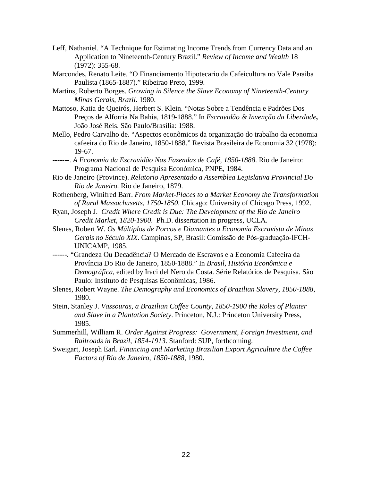- Leff, Nathaniel. "A Technique for Estimating Income Trends from Currency Data and an Application to Nineteenth-Century Brazil." *Review of Income and Wealth* 18 (1972): 355-68.
- Marcondes, Renato Leite. "O Financiamento Hipotecario da Cafeicultura no Vale Paraiba Paulista (1865-1887)." Ribeirao Preto, 1999.
- Martins, Roberto Borges. *Growing in Silence the Slave Economy of Nineteenth-Century Minas Gerais, Brazil*. 1980.
- Mattoso, Katia de Queirós, Herbert S. Klein. "Notas Sobre a Tendência e Padrões Dos Preços de Alforria Na Bahia, 1819-1888." In *Escravidão & Invenção da Liberdade***,**  João José Reis. São Paulo/Brasília: 1988.
- Mello, Pedro Carvalho de. "Aspectos econômicos da organização do trabalho da economia cafeeira do Rio de Janeiro, 1850-1888." Revista Brasileira de Economia 32 (1978): 19-67.
- -------. *A Economia da Escravidão Nas Fazendas de Café, 1850-1888*. Rio de Janeiro: Programa Nacional de Pesquisa Económica, PNPE, 1984.
- Rio de Janeiro (Province). *Relatorio Apresentado a Assemblea Legislativa Provincial Do Rio de Janeiro*. Rio de Janeiro, 1879.
- Rothenberg, Winifred Barr. *From Market-Places to a Market Economy the Transformation of Rural Massachusetts, 1750-1850*. Chicago: University of Chicago Press, 1992.
- Ryan, Joseph J. *Credit Where Credit is Due: The Development of the Rio de Janeiro Credit Market, 1820-1900*. Ph.D. dissertation in progress, UCLA.
- Slenes, Robert W. *Os Múltiplos de Porcos e Diamantes a Economia Escravista de Minas Gerais no Século XIX*. Campinas, SP, Brasil: Comissão de Pós-graduação-IFCH-UNICAMP, 1985.
- ------. "Grandeza Ou Decadência? O Mercado de Escravos e a Economia Cafeeira da Província Do Rio de Janeiro, 1850-1888." In *Brasil, História Econômica e Demográfica*, edited by Iraci del Nero da Costa. Série Relatórios de Pesquisa. São Paulo: Instituto de Pesquisas Econômicas, 1986.
- Slenes, Robert Wayne. *The Demography and Economics of Brazilian Slavery, 1850-1888*, 1980.
- Stein, Stanley J. *Vassouras, a Brazilian Coffee County, 1850-1900 the Roles of Planter and Slave in a Plantation Society*. Princeton, N.J.: Princeton University Press, 1985.
- Summerhill, William R. *Order Against Progress: Government, Foreign Investment, and Railroads in Brazil, 1854-1913*. Stanford: SUP, forthcoming.
- Sweigart, Joseph Earl. *Financing and Marketing Brazilian Export Agriculture the Coffee Factors of Rio de Janeiro, 1850-1888*, 1980.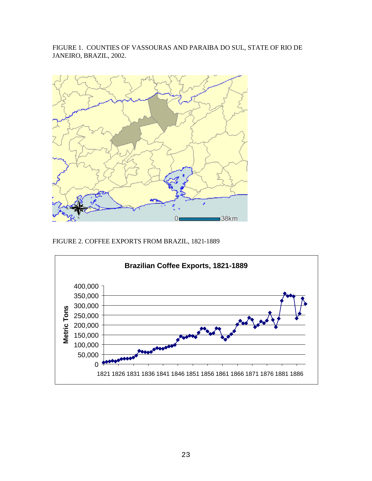FIGURE 1. COUNTIES OF VASSOURAS AND PARAIBA DO SUL, STATE OF RIO DE JANEIRO, BRAZIL, 2002.



FIGURE 2. COFFEE EXPORTS FROM BRAZIL, 1821-1889

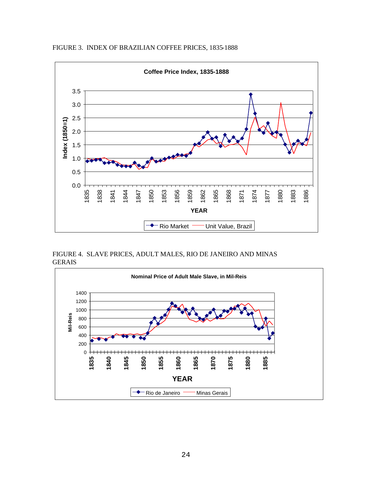

FIGURE 3. INDEX OF BRAZILIAN COFFEE PRICES, 1835-1888

FIGURE 4. SLAVE PRICES, ADULT MALES, RIO DE JANEIRO AND MINAS GERAIS

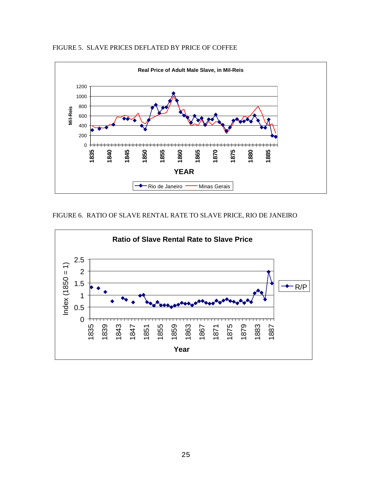



FIGURE 6. RATIO OF SLAVE RENTAL RATE TO SLAVE PRICE, RIO DE JANEIRO

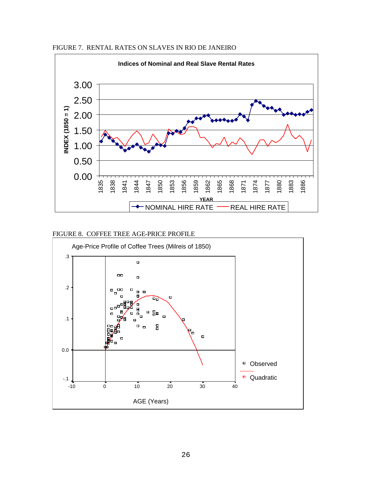FIGURE 7. RENTAL RATES ON SLAVES IN RIO DE JANEIRO



# FIGURE 8. COFFEE TREE AGE-PRICE PROFILE

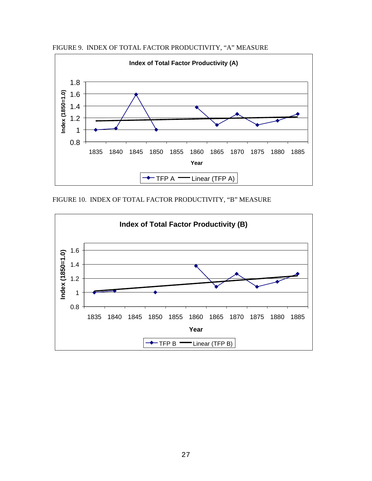FIGURE 9. INDEX OF TOTAL FACTOR PRODUCTIVITY, "A" MEASURE



FIGURE 10. INDEX OF TOTAL FACTOR PRODUCTIVITY, "B" MEASURE

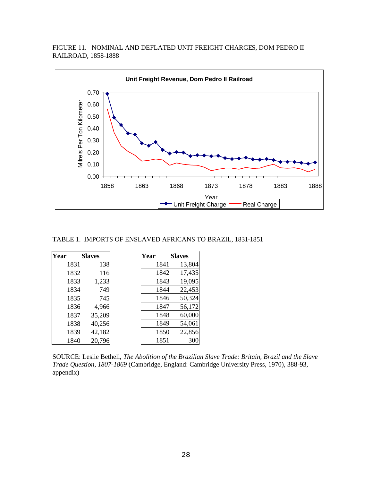FIGURE 11. NOMINAL AND DEFLATED UNIT FREIGHT CHARGES, DOM PEDRO II RAILROAD, 1858-1888



#### TABLE 1. IMPORTS OF ENSLAVED AFRICANS TO BRAZIL, 1831-1851

| Year | <b>Slaves</b> | Year | <b>Slaves</b> |
|------|---------------|------|---------------|
| 1831 | 138           | 1841 | 13,804        |
| 1832 | 116           | 1842 | 17,435        |
| 1833 | 1,233         | 1843 | 19,095        |
| 1834 | 749           | 1844 | 22,453        |
| 1835 | 745           | 1846 | 50,324        |
| 1836 | 4,966         | 1847 | 56,172        |
| 1837 | 35,209        | 1848 | 60,000        |
| 1838 | 40,256        | 1849 | 54,061        |
| 1839 | 42,182        | 1850 | 22,856        |
| 1840 | 20,796        | 1851 | 300           |

SOURCE: Leslie Bethell, *The Abolition of the Brazilian Slave Trade: Britain, Brazil and the Slave Trade Question, 1807-1869* (Cambridge, England: Cambridge University Press, 1970), 388-93, appendix)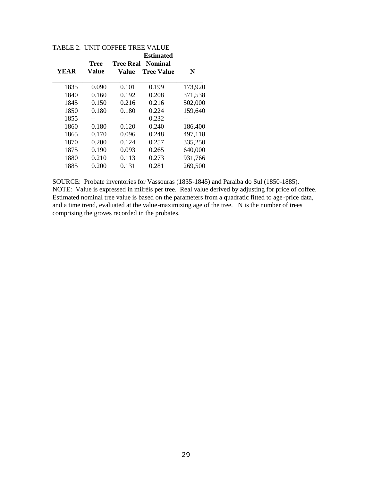|             | Tree  | <b>Estimated</b><br><b>Tree Real</b><br><b>Nominal</b> |                   |         |  |
|-------------|-------|--------------------------------------------------------|-------------------|---------|--|
| <b>YEAR</b> | Value | Value                                                  | <b>Tree Value</b> | N       |  |
| 1835        | 0.090 | 0.101                                                  | 0.199             | 173,920 |  |
| 1840        | 0.160 | 0.192                                                  | 0.208             | 371,538 |  |
| 1845        | 0.150 | 0.216                                                  | 0.216             | 502,000 |  |
| 1850        | 0.180 | 0.180                                                  | 0.224             | 159,640 |  |
| 1855        | --    | --                                                     | 0.232             | --      |  |
| 1860        | 0.180 | 0.120                                                  | 0.240             | 186,400 |  |
| 1865        | 0.170 | 0.096                                                  | 0.248             | 497,118 |  |
| 1870        | 0.200 | 0.124                                                  | 0.257             | 335,250 |  |
| 1875        | 0.190 | 0.093                                                  | 0.265             | 640,000 |  |
| 1880        | 0.210 | 0.113                                                  | 0.273             | 931,766 |  |
| 1885        | 0.200 | 0.131                                                  | 0.281             | 269,500 |  |

TABLE 2. UNIT COFFEE TREE VALUE

SOURCE: Probate inventories for Vassouras (1835-1845) and Paraiba do Sul (1850-1885). NOTE: Value is expressed in milréis per tree. Real value derived by adjusting for price of coffee. Estimated nominal tree value is based on the parameters from a quadratic fitted to age -price data, and a time trend, evaluated at the value-maximizing age of the tree. N is the number of trees comprising the groves recorded in the probates.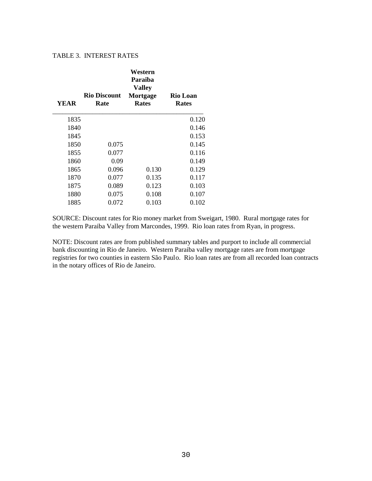# TABLE 3. INTEREST RATES

| YEAR | <b>Rio Discount</b><br>Rate | Western<br>Paraiba<br><b>Valley</b><br>Mortgage<br><b>Rates</b> | <b>Rio Loan</b><br><b>Rates</b> |
|------|-----------------------------|-----------------------------------------------------------------|---------------------------------|
| 1835 |                             |                                                                 | 0.120                           |
| 1840 |                             |                                                                 | 0.146                           |
| 1845 |                             |                                                                 | 0.153                           |
| 1850 | 0.075                       |                                                                 | 0.145                           |
| 1855 | 0.077                       |                                                                 | 0.116                           |
| 1860 | 0.09                        |                                                                 | 0.149                           |
| 1865 | 0.096                       | 0.130                                                           | 0.129                           |
| 1870 | 0.077                       | 0.135                                                           | 0.117                           |
| 1875 | 0.089                       | 0.123                                                           | 0.103                           |
| 1880 | 0.075                       | 0.108                                                           | 0.107                           |
| 1885 | 0.072                       | 0.103                                                           | 0.102                           |
|      |                             |                                                                 |                                 |

SOURCE: Discount rates for Rio money market from Sweigart, 1980. Rural mortgage rates for the western Paraiba Valley from Marcondes, 1999. Rio loan rates from Ryan, in progress.

NOTE: Discount rates are from published summary tables and purport to include all commercial bank discounting in Rio de Janeiro. Western Paraiba valley mortgage rates are from mortgage registries for two counties in eastern São Paulo. Rio loan rates are from all recorded loan contracts in the notary offices of Rio de Janeiro.